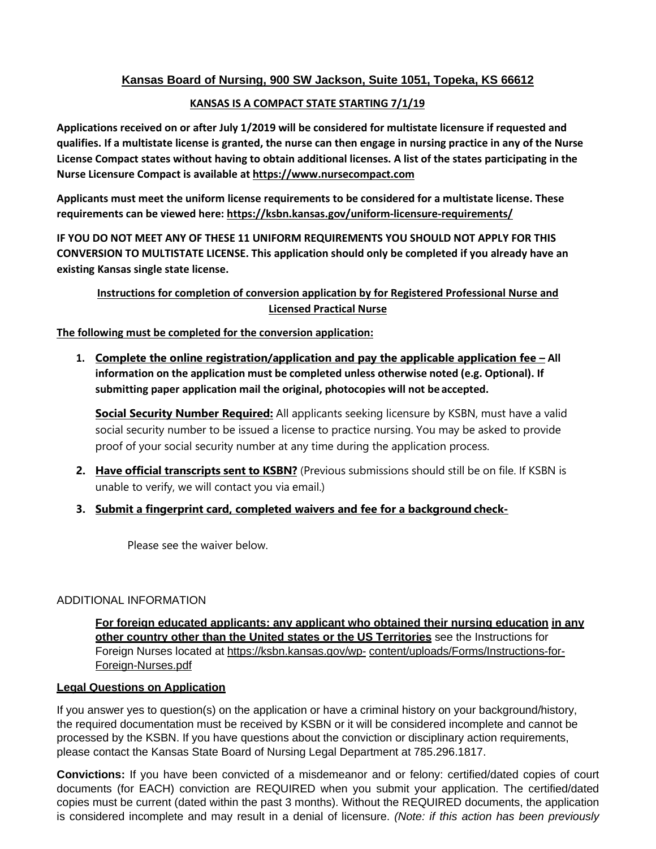# **Kansas Board of Nursing, 900 SW Jackson, Suite 1051, Topeka, KS 66612**

## **KANSAS IS A COMPACT STATE STARTING 7/1/19**

**Applications received on or after July 1/2019 will be considered for multistate licensure if requested and qualifies. If a multistate license is granted, the nurse can then engage in nursing practice in any of the Nurse License Compact states without having to obtain additional licenses. A list of the states participating in the Nurse Licensure Compact is available at https[://www.nursecompact.com](http://www.nursecompact.com/)**

**Applicants must meet the uniform license requirements to be considered for a multistate license. These requirements can be viewed here: https://ksbn.kansas.gov/uniform‐licensure‐requirements/**

**IF YOU DO NOT MEET ANY OF THESE 11 UNIFORM REQUIREMENTS YOU SHOULD NOT APPLY FOR THIS CONVERSION TO MULTISTATE LICENSE. This application should only be completed if you already have an existing Kansas single state license.**

# **Instructions for completion of conversion application by for Registered Professional Nurse and Licensed Practical Nurse**

**The following must be completed for the conversion application:**

**1. Complete the online registration/application and pay the applicable application fee – All information on the application must be completed unless otherwise noted (e.g. Optional). If submitting paper application mail the original, photocopies will not be accepted.**

**Social Security Number Required:** All applicants seeking licensure by KSBN, must have a valid social security number to be issued a license to practice nursing. You may be asked to provide proof of your social security number at any time during the application process.

- **2. Have official transcripts sent to KSBN?** (Previous submissions should still be on file. If KSBN is unable to verify, we will contact you via email.)
- **3. Submit a fingerprint card, completed waivers and fee for a background check-**

Please see the waiver below.

## ADDITIONAL INFORMATION

**For foreign educated applicants: any applicant who obtained their nursing education in any other country other than the United states or the US Territories** see the Instructions for Foreign Nurses located at https://ksbn.kansas.gov/wp- content/uploads/Forms/Instructions-for-Foreign-Nurses.pdf

## **Legal Questions on Application**

If you answer yes to question(s) on the application or have a criminal history on your background/history, the required documentation must be received by KSBN or it will be considered incomplete and cannot be processed by the KSBN. If you have questions about the conviction or disciplinary action requirements, please contact the Kansas State Board of Nursing Legal Department at 785.296.1817.

**Convictions:** If you have been convicted of a misdemeanor and or felony: certified/dated copies of court documents (for EACH) conviction are REQUIRED when you submit your application. The certified/dated copies must be current (dated within the past 3 months). Without the REQUIRED documents, the application is considered incomplete and may result in a denial of licensure. *(Note: if this action has been previously*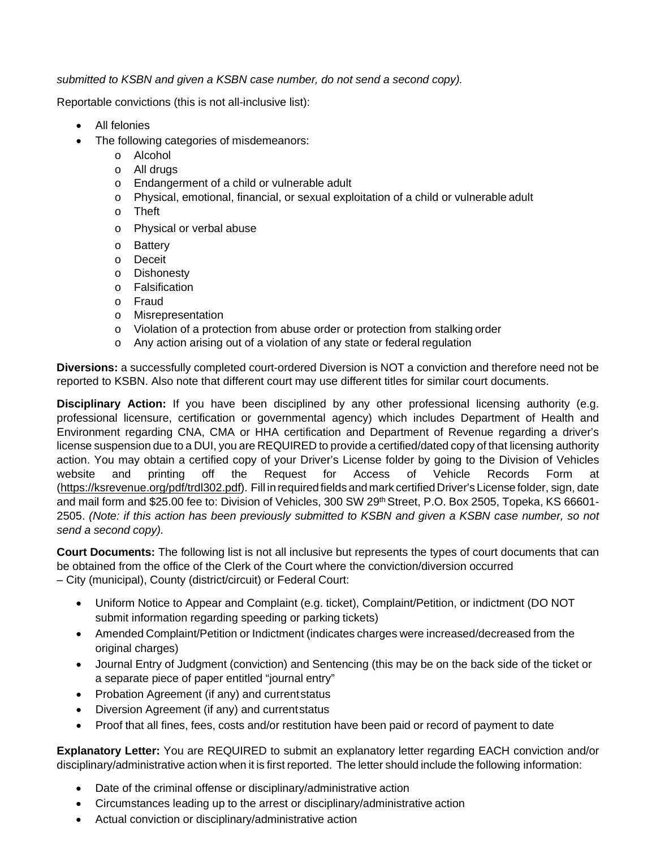*submitted to KSBN and given a KSBN case number, do not send a second copy).*

Reportable convictions (this is not all-inclusive list):

- All felonies
- The following categories of misdemeanors:
	- o Alcohol
	- o All drugs
	- o Endangerment of a child or vulnerable adult
	- o Physical, emotional, financial, or sexual exploitation of a child or vulnerable adult
	- o Theft
	- o Physical or verbal abuse
	- o Battery
	- o Deceit
	- o Dishonesty
	- o Falsification
	- o Fraud
	- o Misrepresentation
	- o Violation of a protection from abuse order or protection from stalking order
	- o Any action arising out of a violation of any state or federal regulation

**Diversions:** a successfully completed court-ordered Diversion is NOT a conviction and therefore need not be reported to KSBN. Also note that different court may use different titles for similar court documents.

**Disciplinary Action:** If you have been disciplined by any other professional licensing authority (e.g. professional licensure, certification or governmental agency) which includes Department of Health and Environment regarding CNA, CMA or HHA certification and Department of Revenue regarding a driver's license suspension due to a DUI, you are REQUIRED to provide a certified/dated copy of that licensing authority action. You may obtain a certified copy of your Driver's License folder by going to the Division of Vehicles website and printing off the Request for Access of Vehicle Records Form at (https://ksrevenue.org/pdf/trdl302.pdf). Fill in requiredfields and mark certified Driver's License folder, sign, date and mail form and \$25.00 fee to: Division of Vehicles, 300 SW 29<sup>th</sup> Street, P.O. Box 2505, Topeka, KS 66601-2505. *(Note: if this action has been previously submitted to KSBN and given a KSBN case number, so not send a second copy).*

**Court Documents:** The following list is not all inclusive but represents the types of court documents that can be obtained from the office of the Clerk of the Court where the conviction/diversion occurred – City (municipal), County (district/circuit) or Federal Court:

- Uniform Notice to Appear and Complaint (e.g. ticket), Complaint/Petition, or indictment (DO NOT submit information regarding speeding or parking tickets)
- Amended Complaint/Petition or Indictment (indicates charges were increased/decreased from the original charges)
- Journal Entry of Judgment (conviction) and Sentencing (this may be on the back side of the ticket or a separate piece of paper entitled "journal entry"
- Probation Agreement (if any) and currentstatus
- Diversion Agreement (if any) and currentstatus
- Proof that all fines, fees, costs and/or restitution have been paid or record of payment to date

**Explanatory Letter:** You are REQUIRED to submit an explanatory letter regarding EACH conviction and/or disciplinary/administrative action when it is first reported. The letter should include the following information:

- Date of the criminal offense or disciplinary/administrative action
- Circumstances leading up to the arrest or disciplinary/administrative action
- Actual conviction or disciplinary/administrative action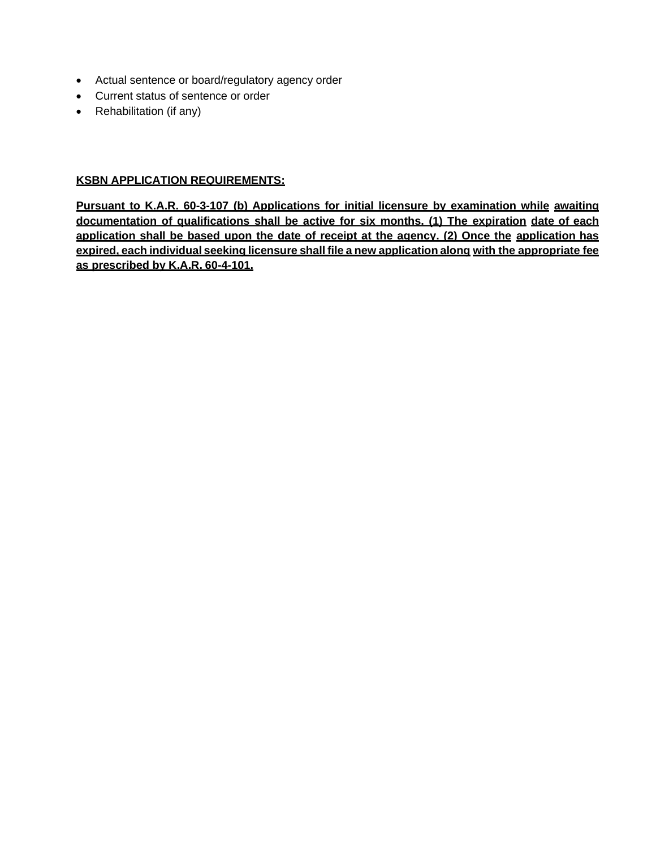- Actual sentence or board/regulatory agency order
- Current status of sentence or order
- Rehabilitation (if any)

## **KSBN APPLICATION REQUIREMENTS:**

**Pursuant to K.A.R. 60-3-107 (b) Applications for initial licensure by examination while awaiting documentation of qualifications shall be active for six months. (1) The expiration date of each application shall be based upon the date of receipt at the agency. (2) Once the application has expired, each individual seeking licensure shall file a new application along with the appropriate fee as prescribed by K.A.R. 60-4-101.**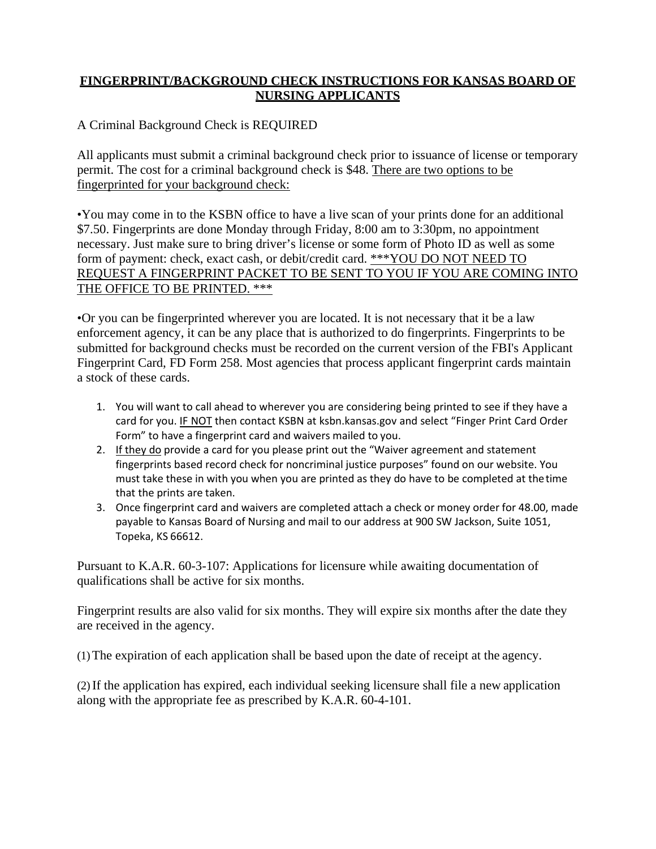# **FINGERPRINT/BACKGROUND CHECK INSTRUCTIONS FOR KANSAS BOARD OF NURSING APPLICANTS**

A Criminal Background Check is REQUIRED

All applicants must submit a criminal background check prior to issuance of license or temporary permit. The cost for a criminal background check is \$48. There are two options to be fingerprinted for your background check:

•You may come in to the KSBN office to have a live scan of your prints done for an additional \$7.50. Fingerprints are done Monday through Friday, 8:00 am to 3:30pm, no appointment necessary. Just make sure to bring driver's license or some form of Photo ID as well as some form of payment: check, exact cash, or debit/credit card. \*\*\*YOU DO NOT NEED TO REQUEST A FINGERPRINT PACKET TO BE SENT TO YOU IF YOU ARE COMING INTO THE OFFICE TO BE PRINTED. \*\*\*

•Or you can be fingerprinted wherever you are located. It is not necessary that it be a law enforcement agency, it can be any place that is authorized to do fingerprints. Fingerprints to be submitted for background checks must be recorded on the current version of the FBI's Applicant Fingerprint Card, FD Form 258. Most agencies that process applicant fingerprint cards maintain a stock of these cards.

- 1. You will want to call ahead to wherever you are considering being printed to see if they have a card for you. IF NOT then contact KSBN at ksbn.kansas.gov and select "Finger Print Card Order Form" to have a fingerprint card and waivers mailed to you.
- 2. If they do provide a card for you please print out the "Waiver agreement and statement fingerprints based record check for noncriminal justice purposes" found on our website. You must take these in with you when you are printed as they do have to be completed at thetime that the prints are taken.
- 3. Once fingerprint card and waivers are completed attach a check or money order for 48.00, made payable to Kansas Board of Nursing and mail to our address at 900 SW Jackson, Suite 1051, Topeka, KS 66612.

Pursuant to K.A.R. 60-3-107: Applications for licensure while awaiting documentation of qualifications shall be active for six months.

Fingerprint results are also valid for six months. They will expire six months after the date they are received in the agency.

(1)The expiration of each application shall be based upon the date of receipt at the agency.

(2)If the application has expired, each individual seeking licensure shall file a new application along with the appropriate fee as prescribed by K.A.R. 60-4-101.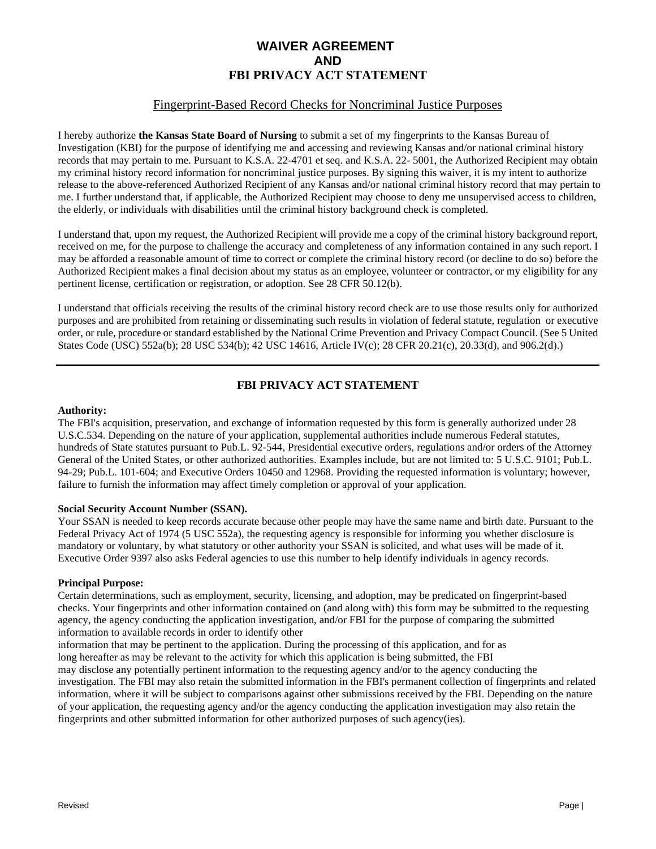# **WAIVER AGREEMENT AND FBI PRIVACY ACT STATEMENT**

## Fingerprint-Based Record Checks for Noncriminal Justice Purposes

I hereby authorize **the Kansas State Board of Nursing** to submit a set of my fingerprints to the Kansas Bureau of Investigation (KBI) for the purpose of identifying me and accessing and reviewing Kansas and/or national criminal history records that may pertain to me. Pursuant to K.S.A. 22-4701 et seq. and K.S.A. 22- 5001, the Authorized Recipient may obtain my criminal history record information for noncriminal justice purposes. By signing this waiver, it is my intent to authorize release to the above-referenced Authorized Recipient of any Kansas and/or national criminal history record that may pertain to me. I further understand that, if applicable, the Authorized Recipient may choose to deny me unsupervised access to children, the elderly, or individuals with disabilities until the criminal history background check is completed.

I understand that, upon my request, the Authorized Recipient will provide me a copy of the criminal history background report, received on me, for the purpose to challenge the accuracy and completeness of any information contained in any such report. I may be afforded a reasonable amount of time to correct or complete the criminal history record (or decline to do so) before the Authorized Recipient makes a final decision about my status as an employee, volunteer or contractor, or my eligibility for any pertinent license, certification or registration, or adoption. See 28 CFR 50.12(b).

I understand that officials receiving the results of the criminal history record check are to use those results only for authorized purposes and are prohibited from retaining or disseminating such results in violation of federal statute, regulation or executive order, or rule, procedure or standard established by the National Crime Prevention and Privacy Compact Council. (See 5 United States Code (USC) 552a(b); 28 USC 534(b); 42 USC 14616, Article IV(c); 28 CFR 20.21(c), 20.33(d), and 906.2(d).)

## **FBI PRIVACY ACT STATEMENT**

#### **Authority:**

The FBI's acquisition, preservation, and exchange of information requested by this form is generally authorized under 28 U.S.C.534. Depending on the nature of your application, supplemental authorities include numerous Federal statutes, hundreds of State statutes pursuant to Pub.L. 92-544, Presidential executive orders, regulations and/or orders of the Attorney General of the United States, or other authorized authorities. Examples include, but are not limited to: 5 U.S.C. 9101; Pub.L. 94-29; Pub.L. 101-604; and Executive Orders 10450 and 12968. Providing the requested information is voluntary; however, failure to furnish the information may affect timely completion or approval of your application.

#### **Social Security Account Number (SSAN).**

Your SSAN is needed to keep records accurate because other people may have the same name and birth date. Pursuant to the Federal Privacy Act of 1974 (5 USC 552a), the requesting agency is responsible for informing you whether disclosure is mandatory or voluntary, by what statutory or other authority your SSAN is solicited, and what uses will be made of it. Executive Order 9397 also asks Federal agencies to use this number to help identify individuals in agency records.

#### **Principal Purpose:**

Certain determinations, such as employment, security, licensing, and adoption, may be predicated on fingerprint-based checks. Your fingerprints and other information contained on (and along with) this form may be submitted to the requesting agency, the agency conducting the application investigation, and/or FBI for the purpose of comparing the submitted information to available records in order to identify other

information that may be pertinent to the application. During the processing of this application, and for as long hereafter as may be relevant to the activity for which this application is being submitted, the FBI may disclose any potentially pertinent information to the requesting agency and/or to the agency conducting the investigation. The FBI may also retain the submitted information in the FBI's permanent collection of fingerprints and related information, where it will be subject to comparisons against other submissions received by the FBI. Depending on the nature of your application, the requesting agency and/or the agency conducting the application investigation may also retain the fingerprints and other submitted information for other authorized purposes of such agency(ies).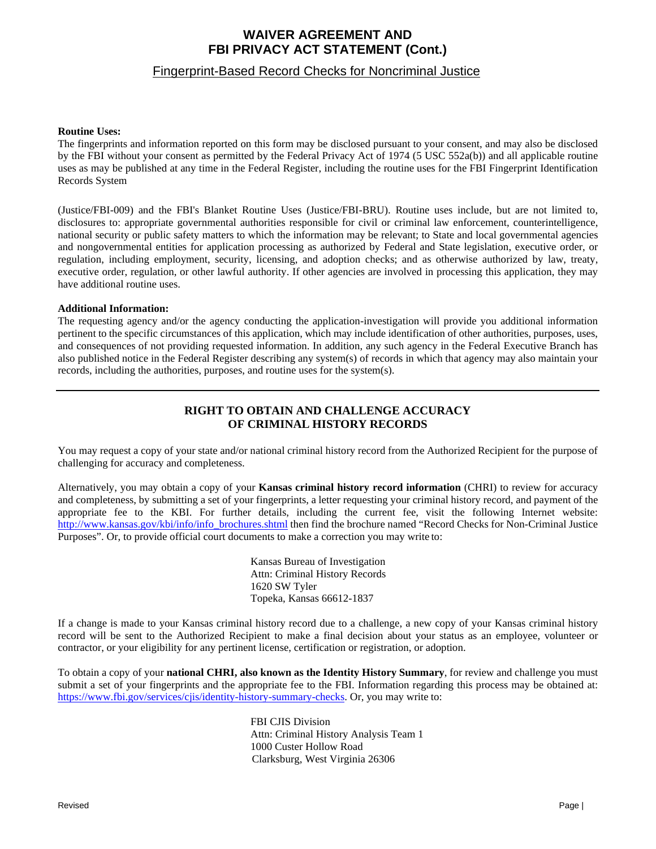# **WAIVER AGREEMENT AND FBI PRIVACY ACT STATEMENT (Cont.)**

### Fingerprint-Based Record Checks for Noncriminal Justice

#### **Routine Uses:**

The fingerprints and information reported on this form may be disclosed pursuant to your consent, and may also be disclosed by the FBI without your consent as permitted by the Federal Privacy Act of 1974 (5 USC 552a(b)) and all applicable routine uses as may be published at any time in the Federal Register, including the routine uses for the FBI Fingerprint Identification Records System

(Justice/FBI-009) and the FBI's Blanket Routine Uses (Justice/FBI-BRU). Routine uses include, but are not limited to, disclosures to: appropriate governmental authorities responsible for civil or criminal law enforcement, counterintelligence, national security or public safety matters to which the information may be relevant; to State and local governmental agencies and nongovernmental entities for application processing as authorized by Federal and State legislation, executive order, or regulation, including employment, security, licensing, and adoption checks; and as otherwise authorized by law, treaty, executive order, regulation, or other lawful authority. If other agencies are involved in processing this application, they may have additional routine uses.

#### **Additional Information:**

The requesting agency and/or the agency conducting the application-investigation will provide you additional information pertinent to the specific circumstances of this application, which may include identification of other authorities, purposes, uses, and consequences of not providing requested information. In addition, any such agency in the Federal Executive Branch has also published notice in the Federal Register describing any system(s) of records in which that agency may also maintain your records, including the authorities, purposes, and routine uses for the system(s).

## **RIGHT TO OBTAIN AND CHALLENGE ACCURACY OF CRIMINAL HISTORY RECORDS**

You may request a copy of your state and/or national criminal history record from the Authorized Recipient for the purpose of challenging for accuracy and completeness.

Alternatively, you may obtain a copy of your **Kansas criminal history record information** (CHRI) to review for accuracy and completeness, by submitting a set of your fingerprints, a letter requesting your criminal history record, and payment of the appropriate fee to the KBI. For further details, including the current fee, visit the following Internet website: [http://www.kansas.gov/kbi/info/info\\_brochures.shtml](http://www.kansas.gov/kbi/info/info_brochures.shtml) then find the brochure named "Record Checks for Non-Criminal Justice Purposes". Or, to provide official court documents to make a correction you may write to:

> Kansas Bureau of Investigation Attn: Criminal History Records 1620 SW Tyler Topeka, Kansas 66612-1837

If a change is made to your Kansas criminal history record due to a challenge, a new copy of your Kansas criminal history record will be sent to the Authorized Recipient to make a final decision about your status as an employee, volunteer or contractor, or your eligibility for any pertinent license, certification or registration, or adoption.

To obtain a copy of your **national CHRI, also known as the Identity History Summary**, for review and challenge you must submit a set of your fingerprints and the appropriate fee to the FBI. Information regarding this process may be obtained at: htt[ps://www.fbi.](http://www.fbi.gov/services/cjis/identity-history-summary-checks)g[ov/services/cjis/identity-history-summary-checks. O](http://www.fbi.gov/services/cjis/identity-history-summary-checks)r, you may write to:

> FBI CJIS Division Attn: Criminal History Analysis Team 1 1000 Custer Hollow Road Clarksburg, West Virginia 26306